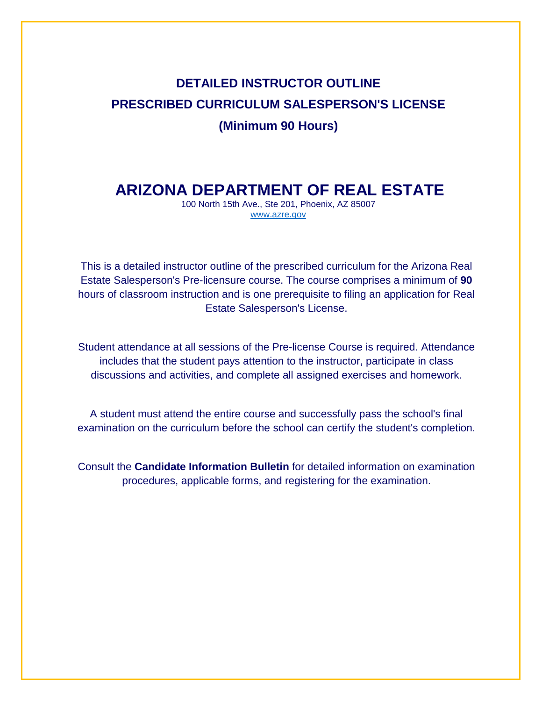# **DETAILED INSTRUCTOR OUTLINE PRESCRIBED CURRICULUM SALESPERSON'S LICENSE (Minimum 90 Hours)**

## **ARIZONA DEPARTMENT OF REAL ESTATE**

100 North 15th Ave., Ste 201, Phoenix, AZ 85007 [www.azre.gov](http://www.azre.gov/)

This is a detailed instructor outline of the prescribed curriculum for the Arizona Real Estate Salesperson's Pre-licensure course. The course comprises a minimum of **90**  hours of classroom instruction and is one prerequisite to filing an application for Real Estate Salesperson's License.

Student attendance at all sessions of the Pre-license Course is required. Attendance includes that the student pays attention to the instructor, participate in class discussions and activities, and complete all assigned exercises and homework.

A student must attend the entire course and successfully pass the school's final examination on the curriculum before the school can certify the student's completion.

Consult the **Candidate Information Bulletin** for detailed information on examination procedures, applicable forms, and registering for the examination.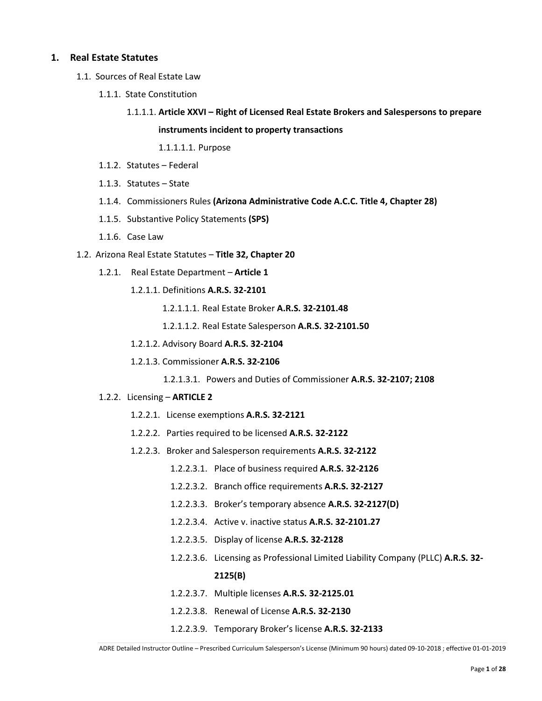#### **1. Real Estate Statutes**

- 1.1. Sources of Real Estate Law
	- 1.1.1. State Constitution
		- 1.1.1.1. **Article XXVI – Right of Licensed Real Estate Brokers and Salespersons to prepare instruments incident to property transactions**

1.1.1.1.1. Purpose

- 1.1.2. Statutes Federal
- 1.1.3. Statutes State
- 1.1.4. Commissioners Rules **(Arizona Administrative Code A.C.C. Title 4, Chapter 28)**
- 1.1.5. Substantive Policy Statements **(SPS)**
- 1.1.6. Case Law
- 1.2. Arizona Real Estate Statutes **Title 32, Chapter 20**
	- 1.2.1. Real Estate Department **Article 1** 
		- 1.2.1.1. Definitions **A.R.S. 32-2101**
			- 1.2.1.1.1. Real Estate Broker **A.R.S. 32-2101.48**
			- 1.2.1.1.2. Real Estate Salesperson **A.R.S. 32-2101.50**
		- 1.2.1.2. Advisory Board **A.R.S. 32-2104**
		- 1.2.1.3. Commissioner **A.R.S. 32-2106**

1.2.1.3.1. Powers and Duties of Commissioner **A.R.S. 32-2107; 2108**

- 1.2.2. Licensing **ARTICLE 2** 
	- 1.2.2.1. License exemptions **A.R.S. 32-2121**
	- 1.2.2.2. Parties required to be licensed **A.R.S. 32-2122**
	- 1.2.2.3. Broker and Salesperson requirements **A.R.S. 32-2122**
		- 1.2.2.3.1. Place of business required **A.R.S. 32-2126**
		- 1.2.2.3.2. Branch office requirements **A.R.S. 32-2127**
		- 1.2.2.3.3. Broker's temporary absence **A.R.S. 32-2127(D)**
		- 1.2.2.3.4. Active v. inactive status **A.R.S. 32-2101.27**
		- 1.2.2.3.5. Display of license **A.R.S. 32-2128**
		- 1.2.2.3.6. Licensing as Professional Limited Liability Company (PLLC) **A.R.S. 32- 2125(B)**
		- 1.2.2.3.7. Multiple licenses **A.R.S. 32-2125.01**
		- 1.2.2.3.8. Renewal of License **A.R.S. 32-2130**
		- 1.2.2.3.9. Temporary Broker's license **A.R.S. 32-2133**

ADRE Detailed Instructor Outline – Prescribed Curriculum Salesperson's License (Minimum 90 hours) dated 09-10-2018 ; effective 01-01-2019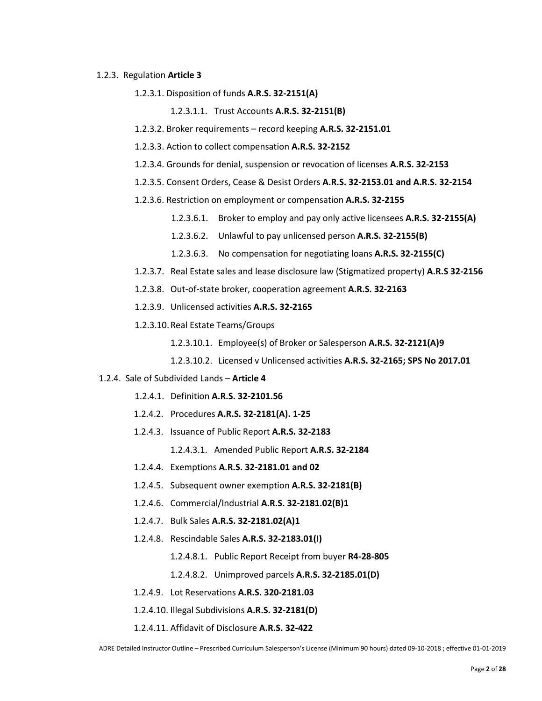#### 1.2.3. Regulation **Article 3**

- 1.2.3.1. Disposition of funds **A.R.S. 32-2151(A)**
	- 1.2.3.1.1. Trust Accounts **A.R.S. 32-2151(B)**
- 1.2.3.2. Broker requirements record keeping **A.R.S. 32-2151.01**
- 1.2.3.3. Action to collect compensation **A.R.S. 32-2152**
- 1.2.3.4. Grounds for denial, suspension or revocation of licenses **A.R.S. 32-2153**
- 1.2.3.5. Consent Orders, Cease & Desist Orders **A.R.S. 32-2153.01 and A.R.S. 32-2154**
- 1.2.3.6. Restriction on employment or compensation **A.R.S. 32-2155**
	- 1.2.3.6.1. Broker to employ and pay only active licensees **A.R.S. 32-2155(A)**
	- 1.2.3.6.2. Unlawful to pay unlicensed person **A.R.S. 32-2155(B)**
	- 1.2.3.6.3. No compensation for negotiating loans **A.R.S. 32-2155(C)**
- 1.2.3.7. Real Estate sales and lease disclosure law (Stigmatized property) **A.R.S 32-2156**
- 1.2.3.8. Out-of-state broker, cooperation agreement **A.R.S. 32-2163**
- 1.2.3.9. Unlicensed activities **A.R.S. 32-2165**
- 1.2.3.10.Real Estate Teams/Groups
	- 1.2.3.10.1. Employee(s) of Broker or Salesperson **A.R.S. 32-2121(A)9**
	- 1.2.3.10.2. Licensed v Unlicensed activities **A.R.S. 32-2165; SPS No 2017.01**

#### 1.2.4. Sale of Subdivided Lands – **Article 4**

- 1.2.4.1. Definition **A.R.S. 32-2101.56**
- 1.2.4.2. Procedures **A.R.S. 32-2181(A). 1-25**
- 1.2.4.3. Issuance of Public Report **A.R.S. 32-2183**

1.2.4.3.1. Amended Public Report **A.R.S. 32-2184**

- 1.2.4.4. Exemptions **A.R.S. 32-2181.01 and 02**
- 1.2.4.5. Subsequent owner exemption **A.R.S. 32-2181(B)**
- 1.2.4.6. Commercial/Industrial **A.R.S. 32-2181.02(B)1**
- 1.2.4.7. Bulk Sales **A.R.S. 32-2181.02(A)1**
- 1.2.4.8. Rescindable Sales **A.R.S. 32-2183.01(I)**
	- 1.2.4.8.1. Public Report Receipt from buyer **R4-28-805**
	- 1.2.4.8.2. Unimproved parcels **A.R.S. 32-2185.01(D)**
- 1.2.4.9. Lot Reservations **A.R.S. 320-2181.03**
- 1.2.4.10. Illegal Subdivisions **A.R.S. 32-2181(D)**
- 1.2.4.11. Affidavit of Disclosure **A.R.S. 32-422**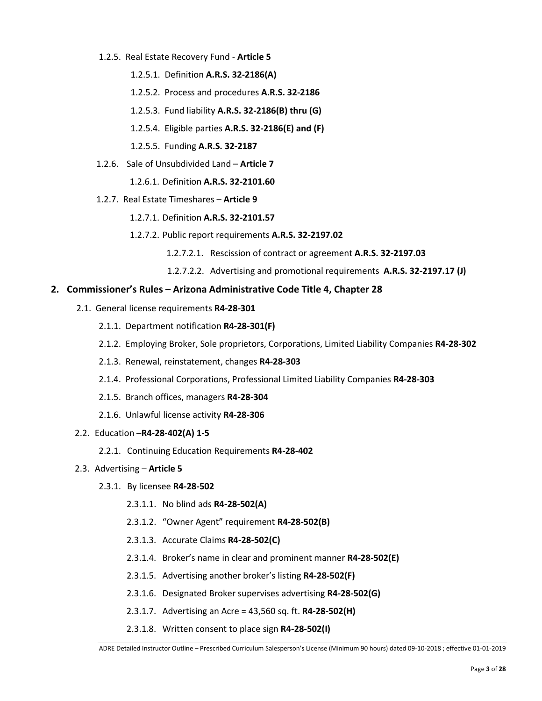- 1.2.5. Real Estate Recovery Fund **Article 5** 
	- 1.2.5.1. Definition **A.R.S. 32-2186(A)**
	- 1.2.5.2. Process and procedures **A.R.S. 32-2186**
	- 1.2.5.3. Fund liability **A.R.S. 32-2186(B) thru (G)**
	- 1.2.5.4. Eligible parties **A.R.S. 32-2186(E) and (F)**
	- 1.2.5.5. Funding **A.R.S. 32-2187**
- 1.2.6. Sale of Unsubdivided Land **Article 7** 
	- 1.2.6.1. Definition **A.R.S. 32-2101.60**
- 1.2.7. Real Estate Timeshares **Article 9** 
	- 1.2.7.1. Definition **A.R.S. 32-2101.57**
	- 1.2.7.2. Public report requirements **A.R.S. 32-2197.02**
		- 1.2.7.2.1. Rescission of contract or agreement **A.R.S. 32-2197.03**
		- 1.2.7.2.2. Advertising and promotional requirements **A.R.S. 32-2197.17 (J)**

#### **2. Commissioner's Rules** – **Arizona Administrative Code Title 4, Chapter 28**

- 2.1. General license requirements **R4-28-301**
	- 2.1.1. Department notification **R4-28-301(F)**
	- 2.1.2. Employing Broker, Sole proprietors, Corporations, Limited Liability Companies **R4-28-302**
	- 2.1.3. Renewal, reinstatement, changes **R4-28-303**
	- 2.1.4. Professional Corporations, Professional Limited Liability Companies **R4-28-303**
	- 2.1.5. Branch offices, managers **R4-28-304**
	- 2.1.6. Unlawful license activity **R4-28-306**
- 2.2. Education –**R4-28-402(A) 1-5**
	- 2.2.1. Continuing Education Requirements **R4-28-402**

#### 2.3. Advertising – **Article 5**

- 2.3.1. By licensee **R4-28-502**
	- 2.3.1.1. No blind ads **R4-28-502(A)**
	- 2.3.1.2. "Owner Agent" requirement **R4-28-502(B)**
	- 2.3.1.3. Accurate Claims **R4-28-502(C)**
	- 2.3.1.4. Broker's name in clear and prominent manner **R4-28-502(E)**
	- 2.3.1.5. Advertising another broker's listing **R4-28-502(F)**
	- 2.3.1.6. Designated Broker supervises advertising **R4-28-502(G)**
	- 2.3.1.7. Advertising an Acre = 43,560 sq. ft. **R4-28-502(H)**
	- 2.3.1.8. Written consent to place sign **R4-28-502(I)**

ADRE Detailed Instructor Outline – Prescribed Curriculum Salesperson's License (Minimum 90 hours) dated 09-10-2018 ; effective 01-01-2019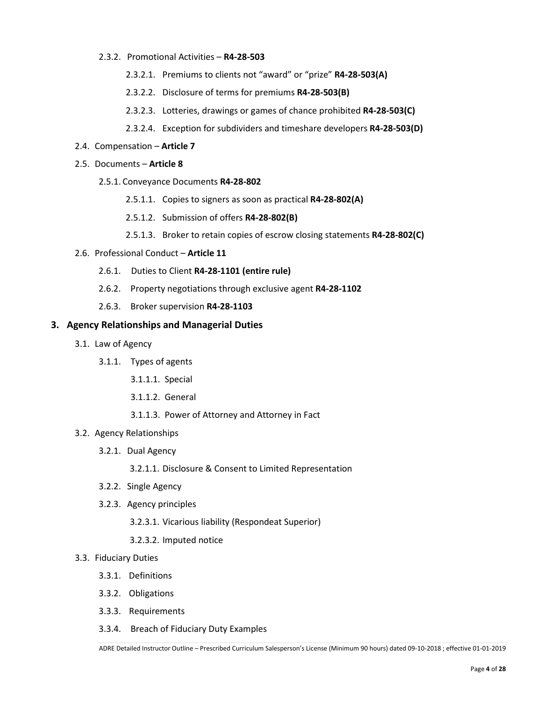#### 2.3.2. Promotional Activities – **R4-28-503**

- 2.3.2.1. Premiums to clients not "award" or "prize" **R4-28-503(A)**
- 2.3.2.2. Disclosure of terms for premiums **R4-28-503(B)**
- 2.3.2.3. Lotteries, drawings or games of chance prohibited **R4-28-503(C)**
- 2.3.2.4. Exception for subdividers and timeshare developers **R4-28-503(D)**
- 2.4. Compensation **Article 7**
- 2.5. Documents **Article 8**
	- 2.5.1. Conveyance Documents **R4-28-802**
		- 2.5.1.1. Copies to signers as soon as practical **R4-28-802(A)**
		- 2.5.1.2. Submission of offers **R4-28-802(B)**
		- 2.5.1.3. Broker to retain copies of escrow closing statements **R4-28-802(C)**
- 2.6. Professional Conduct **Article 11**
	- 2.6.1. Duties to Client **R4-28-1101 (entire rule)**
	- 2.6.2. Property negotiations through exclusive agent **R4-28-1102**
	- 2.6.3. Broker supervision **R4-28-1103**

#### **3. Agency Relationships and Managerial Duties**

- 3.1. Law of Agency
	- 3.1.1. Types of agents
		- 3.1.1.1. Special
		- 3.1.1.2. General
		- 3.1.1.3. Power of Attorney and Attorney in Fact

#### 3.2. Agency Relationships

3.2.1. Dual Agency

3.2.1.1. Disclosure & Consent to Limited Representation

- 3.2.2. Single Agency
- 3.2.3. Agency principles

3.2.3.1. Vicarious liability (Respondeat Superior)

3.2.3.2. Imputed notice

#### 3.3. Fiduciary Duties

- 3.3.1. Definitions
- 3.3.2. Obligations
- 3.3.3. Requirements
- 3.3.4. Breach of Fiduciary Duty Examples

ADRE Detailed Instructor Outline – Prescribed Curriculum Salesperson's License (Minimum 90 hours) dated 09-10-2018 ; effective 01-01-2019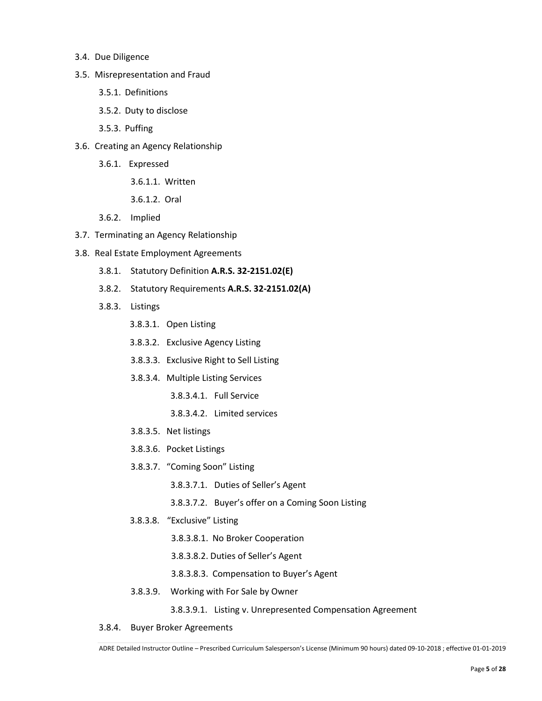- 3.4. Due Diligence
- 3.5. Misrepresentation and Fraud
	- 3.5.1. Definitions
	- 3.5.2. Duty to disclose
	- 3.5.3. Puffing
- 3.6. Creating an Agency Relationship
	- 3.6.1. Expressed
		- 3.6.1.1. Written
		- 3.6.1.2. Oral
	- 3.6.2. Implied
- 3.7. Terminating an Agency Relationship
- 3.8. Real Estate Employment Agreements
	- 3.8.1. Statutory Definition **A.R.S. 32-2151.02(E)**
	- 3.8.2. Statutory Requirements **A.R.S. 32-2151.02(A)**
	- 3.8.3. Listings
		- 3.8.3.1. Open Listing
		- 3.8.3.2. Exclusive Agency Listing
		- 3.8.3.3. Exclusive Right to Sell Listing
		- 3.8.3.4. Multiple Listing Services
			- 3.8.3.4.1. Full Service
			- 3.8.3.4.2. Limited services
		- 3.8.3.5. Net listings
		- 3.8.3.6. Pocket Listings
		- 3.8.3.7. "Coming Soon" Listing
			- 3.8.3.7.1. Duties of Seller's Agent
			- 3.8.3.7.2. Buyer's offer on a Coming Soon Listing
		- 3.8.3.8. "Exclusive" Listing
			- 3.8.3.8.1. No Broker Cooperation
			- 3.8.3.8.2. Duties of Seller's Agent
			- 3.8.3.8.3. Compensation to Buyer's Agent
		- 3.8.3.9. Working with For Sale by Owner

3.8.3.9.1. Listing v. Unrepresented Compensation Agreement

3.8.4. Buyer Broker Agreements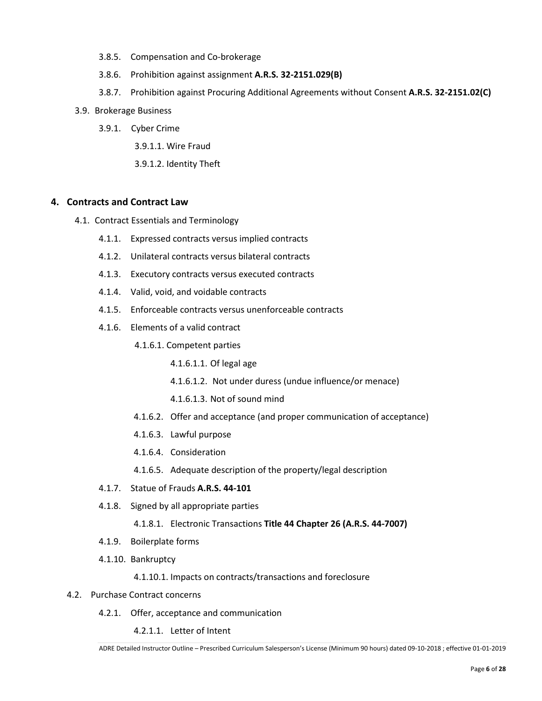- 3.8.5. Compensation and Co-brokerage
- 3.8.6. Prohibition against assignment **A.R.S. 32-2151.029(B)**
- 3.8.7. Prohibition against Procuring Additional Agreements without Consent **A.R.S. 32-2151.02(C)**
- 3.9. Brokerage Business
	- 3.9.1. Cyber Crime
		- 3.9.1.1. Wire Fraud
		- 3.9.1.2. Identity Theft

#### **4. Contracts and Contract Law**

- 4.1. Contract Essentials and Terminology
	- 4.1.1. Expressed contracts versus implied contracts
	- 4.1.2. Unilateral contracts versus bilateral contracts
	- 4.1.3. Executory contracts versus executed contracts
	- 4.1.4. Valid, void, and voidable contracts
	- 4.1.5. Enforceable contracts versus unenforceable contracts
	- 4.1.6. Elements of a valid contract
		- 4.1.6.1. Competent parties
			- 4.1.6.1.1. Of legal age
			- 4.1.6.1.2. Not under duress (undue influence/or menace)
			- 4.1.6.1.3. Not of sound mind
		- 4.1.6.2. Offer and acceptance (and proper communication of acceptance)
		- 4.1.6.3. Lawful purpose
		- 4.1.6.4. Consideration
		- 4.1.6.5. Adequate description of the property/legal description
	- 4.1.7. Statue of Frauds **A.R.S. 44-101**
	- 4.1.8. Signed by all appropriate parties
		- 4.1.8.1. Electronic Transactions **Title 44 Chapter 26 (A.R.S. 44-7007)**
	- 4.1.9. Boilerplate forms
	- 4.1.10. Bankruptcy

4.1.10.1. Impacts on contracts/transactions and foreclosure

- 4.2. Purchase Contract concerns
	- 4.2.1. Offer, acceptance and communication

4.2.1.1. Letter of Intent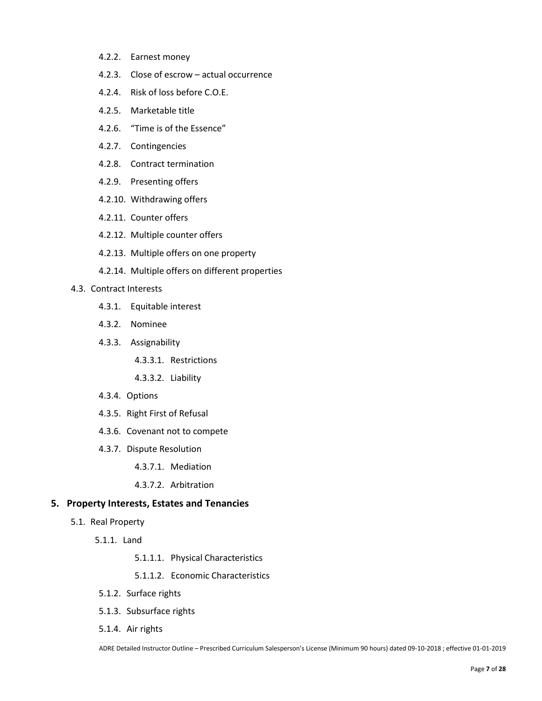- 4.2.2. Earnest money
- 4.2.3. Close of escrow actual occurrence
- 4.2.4. Risk of loss before C.O.E.
- 4.2.5. Marketable title
- 4.2.6. "Time is of the Essence"
- 4.2.7. Contingencies
- 4.2.8. Contract termination
- 4.2.9. Presenting offers
- 4.2.10. Withdrawing offers
- 4.2.11. Counter offers
- 4.2.12. Multiple counter offers
- 4.2.13. Multiple offers on one property
- 4.2.14. Multiple offers on different properties

#### 4.3. Contract Interests

- 4.3.1. Equitable interest
- 4.3.2. Nominee
- 4.3.3. Assignability
	- 4.3.3.1. Restrictions
	- 4.3.3.2. Liability
- 4.3.4. Options
- 4.3.5. Right First of Refusal
- 4.3.6. Covenant not to compete
- 4.3.7. Dispute Resolution
	- 4.3.7.1. Mediation
	- 4.3.7.2. Arbitration

#### **5. Property Interests, Estates and Tenancies**

- 5.1. Real Property
	- 5.1.1. Land
		- 5.1.1.1. Physical Characteristics
		- 5.1.1.2. Economic Characteristics
	- 5.1.2. Surface rights
	- 5.1.3. Subsurface rights
	- 5.1.4. Air rights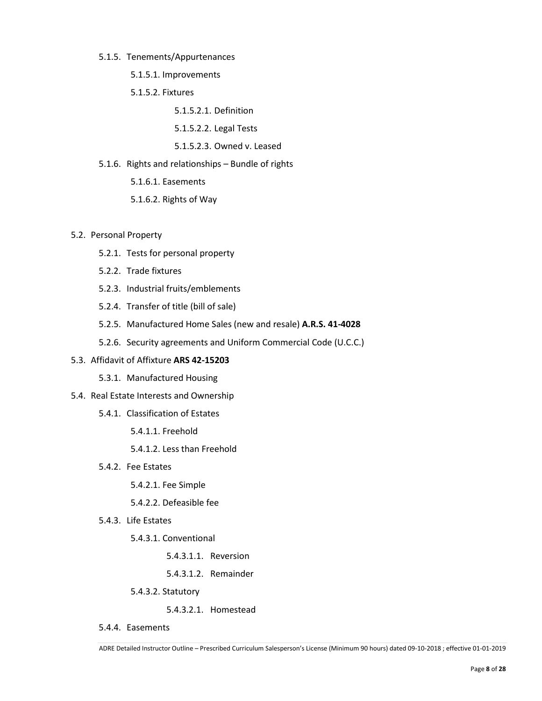#### 5.1.5. Tenements/Appurtenances

5.1.5.1. Improvements

5.1.5.2. Fixtures

5.1.5.2.1. Definition

- 5.1.5.2.2. Legal Tests
- 5.1.5.2.3. Owned v. Leased
- 5.1.6. Rights and relationships Bundle of rights
	- 5.1.6.1. Easements
	- 5.1.6.2. Rights of Way

#### 5.2. Personal Property

- 5.2.1. Tests for personal property
- 5.2.2. Trade fixtures
- 5.2.3. Industrial fruits/emblements
- 5.2.4. Transfer of title (bill of sale)
- 5.2.5. Manufactured Home Sales (new and resale) **A.R.S. 41-4028**
- 5.2.6. Security agreements and Uniform Commercial Code (U.C.C.)

#### 5.3. Affidavit of Affixture **ARS 42-15203**

5.3.1. Manufactured Housing

#### 5.4. Real Estate Interests and Ownership

- 5.4.1. Classification of Estates
	- 5.4.1.1. Freehold
	- 5.4.1.2. Less than Freehold
- 5.4.2. Fee Estates

5.4.2.1. Fee Simple

5.4.2.2. Defeasible fee

5.4.3. Life Estates

5.4.3.1. Conventional

- 5.4.3.1.1. Reversion
- 5.4.3.1.2. Remainder
- 5.4.3.2. Statutory

5.4.3.2.1. Homestead

5.4.4. Easements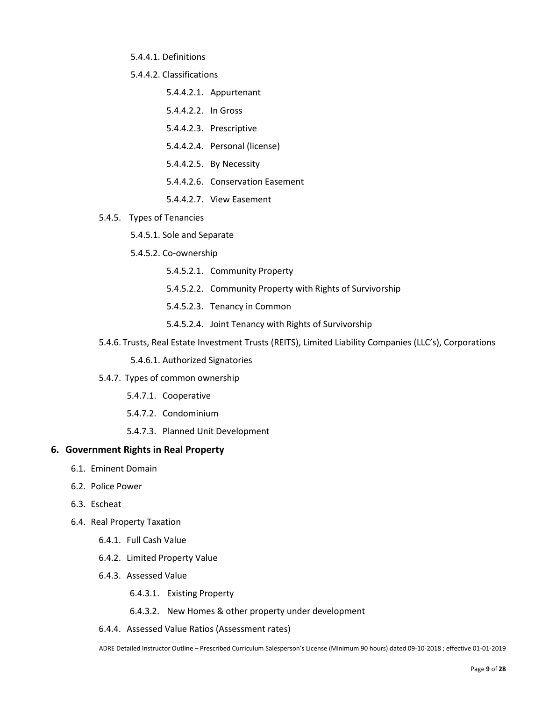5.4.4.1. Definitions

5.4.4.2. Classifications

- 5.4.4.2.1. Appurtenant
- 5.4.4.2.2. In Gross
- 5.4.4.2.3. Prescriptive
- 5.4.4.2.4. Personal (license)
- 5.4.4.2.5. By Necessity
- 5.4.4.2.6. Conservation Easement
- 5.4.4.2.7. View Easement
- 5.4.5. Types of Tenancies
	- 5.4.5.1. Sole and Separate
	- 5.4.5.2. Co-ownership
		- 5.4.5.2.1. Community Property
		- 5.4.5.2.2. Community Property with Rights of Survivorship
		- 5.4.5.2.3. Tenancy in Common
		- 5.4.5.2.4. Joint Tenancy with Rights of Survivorship
- 5.4.6. Trusts, Real Estate Investment Trusts (REITS), Limited Liability Companies (LLC's), Corporations
	- 5.4.6.1. Authorized Signatories
- 5.4.7. Types of common ownership
	- 5.4.7.1. Cooperative
	- 5.4.7.2. Condominium
	- 5.4.7.3. Planned Unit Development

#### **6. Government Rights in Real Property**

- 6.1. Eminent Domain
- 6.2. Police Power
- 6.3. Escheat
- 6.4. Real Property Taxation
	- 6.4.1. Full Cash Value
	- 6.4.2. Limited Property Value
	- 6.4.3. Assessed Value
		- 6.4.3.1. Existing Property
		- 6.4.3.2. New Homes & other property under development
	- 6.4.4. Assessed Value Ratios (Assessment rates)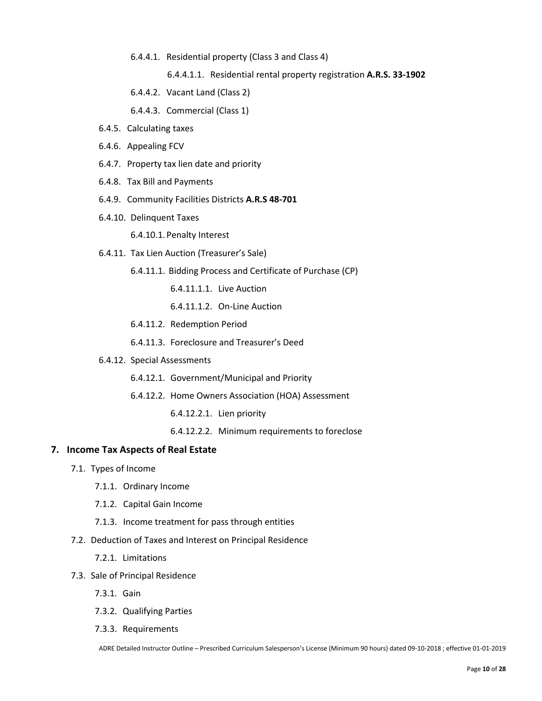6.4.4.1. Residential property (Class 3 and Class 4)

6.4.4.1.1. Residential rental property registration **A.R.S. 33-1902**

- 6.4.4.2. Vacant Land (Class 2)
- 6.4.4.3. Commercial (Class 1)
- 6.4.5. Calculating taxes
- 6.4.6. Appealing FCV
- 6.4.7. Property tax lien date and priority
- 6.4.8. Tax Bill and Payments
- 6.4.9. Community Facilities Districts **A.R.S 48-701**
- 6.4.10. Delinquent Taxes

6.4.10.1.Penalty Interest

- 6.4.11. Tax Lien Auction (Treasurer's Sale)
	- 6.4.11.1. Bidding Process and Certificate of Purchase (CP)
		- 6.4.11.1.1. Live Auction
		- 6.4.11.1.2. On-Line Auction
	- 6.4.11.2. Redemption Period
	- 6.4.11.3. Foreclosure and Treasurer's Deed
- 6.4.12. Special Assessments
	- 6.4.12.1. Government/Municipal and Priority
	- 6.4.12.2. Home Owners Association (HOA) Assessment
		- 6.4.12.2.1. Lien priority
		- 6.4.12.2.2. Minimum requirements to foreclose

#### **7. Income Tax Aspects of Real Estate**

- 7.1. Types of Income
	- 7.1.1. Ordinary Income
	- 7.1.2. Capital Gain Income
	- 7.1.3. Income treatment for pass through entities
- 7.2. Deduction of Taxes and Interest on Principal Residence
	- 7.2.1. Limitations
- 7.3. Sale of Principal Residence
	- 7.3.1. Gain
	- 7.3.2. Qualifying Parties
	- 7.3.3. Requirements

ADRE Detailed Instructor Outline – Prescribed Curriculum Salesperson's License (Minimum 90 hours) dated 09-10-2018 ; effective 01-01-2019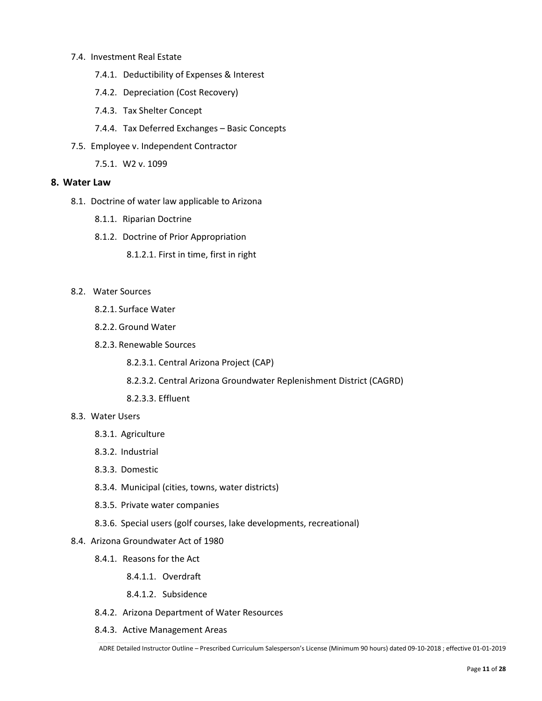#### 7.4. Investment Real Estate

- 7.4.1. Deductibility of Expenses & Interest
- 7.4.2. Depreciation (Cost Recovery)
- 7.4.3. Tax Shelter Concept
- 7.4.4. Tax Deferred Exchanges Basic Concepts
- 7.5. Employee v. Independent Contractor
	- 7.5.1. W2 v. 1099

#### **8. Water Law**

- 8.1. Doctrine of water law applicable to Arizona
	- 8.1.1. Riparian Doctrine
	- 8.1.2. Doctrine of Prior Appropriation
		- 8.1.2.1. First in time, first in right
- 8.2. Water Sources
	- 8.2.1. Surface Water
	- 8.2.2. Ground Water
	- 8.2.3. Renewable Sources
		- 8.2.3.1. Central Arizona Project (CAP)
		- 8.2.3.2. Central Arizona Groundwater Replenishment District (CAGRD)
		- 8.2.3.3. Effluent

#### 8.3. Water Users

- 8.3.1. Agriculture
- 8.3.2. Industrial
- 8.3.3. Domestic
- 8.3.4. Municipal (cities, towns, water districts)
- 8.3.5. Private water companies
- 8.3.6. Special users (golf courses, lake developments, recreational)
- 8.4. Arizona Groundwater Act of 1980
	- 8.4.1. Reasons for the Act
		- 8.4.1.1. Overdraft
		- 8.4.1.2. Subsidence
	- 8.4.2. Arizona Department of Water Resources
	- 8.4.3. Active Management Areas

ADRE Detailed Instructor Outline – Prescribed Curriculum Salesperson's License (Minimum 90 hours) dated 09-10-2018 ; effective 01-01-2019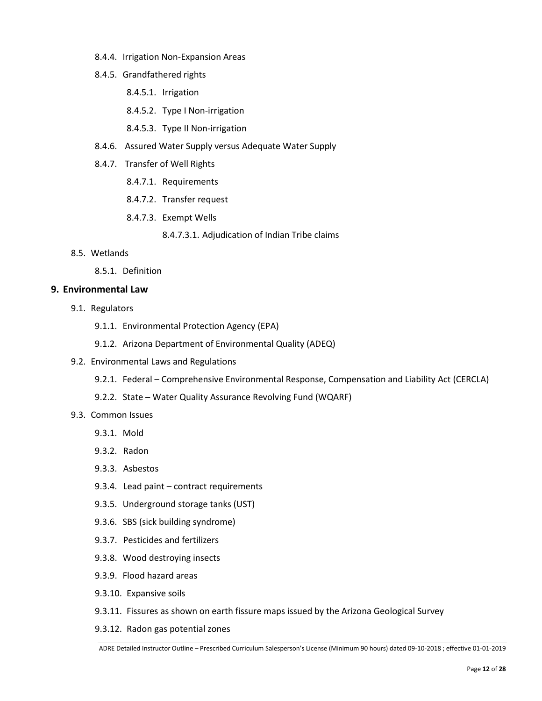- 8.4.4. Irrigation Non-Expansion Areas
- 8.4.5. Grandfathered rights
	- 8.4.5.1. Irrigation
	- 8.4.5.2. Type I Non-irrigation
	- 8.4.5.3. Type II Non-irrigation
- 8.4.6. Assured Water Supply versus Adequate Water Supply
- 8.4.7. Transfer of Well Rights
	- 8.4.7.1. Requirements
	- 8.4.7.2. Transfer request
	- 8.4.7.3. Exempt Wells
		- 8.4.7.3.1. Adjudication of Indian Tribe claims
- 8.5. Wetlands
	- 8.5.1. Definition

#### **9. Environmental Law**

- 9.1. Regulators
	- 9.1.1. Environmental Protection Agency (EPA)
	- 9.1.2. Arizona Department of Environmental Quality (ADEQ)
- 9.2. Environmental Laws and Regulations
	- 9.2.1. Federal Comprehensive Environmental Response, Compensation and Liability Act (CERCLA)
	- 9.2.2. State Water Quality Assurance Revolving Fund (WQARF)
- 9.3. Common Issues
	- 9.3.1. Mold
	- 9.3.2. Radon
	- 9.3.3. Asbestos
	- 9.3.4. Lead paint contract requirements
	- 9.3.5. Underground storage tanks (UST)
	- 9.3.6. SBS (sick building syndrome)
	- 9.3.7. Pesticides and fertilizers
	- 9.3.8. Wood destroying insects
	- 9.3.9. Flood hazard areas
	- 9.3.10. Expansive soils
	- 9.3.11. Fissures as shown on earth fissure maps issued by the Arizona Geological Survey
	- 9.3.12. Radon gas potential zones

ADRE Detailed Instructor Outline – Prescribed Curriculum Salesperson's License (Minimum 90 hours) dated 09-10-2018 ; effective 01-01-2019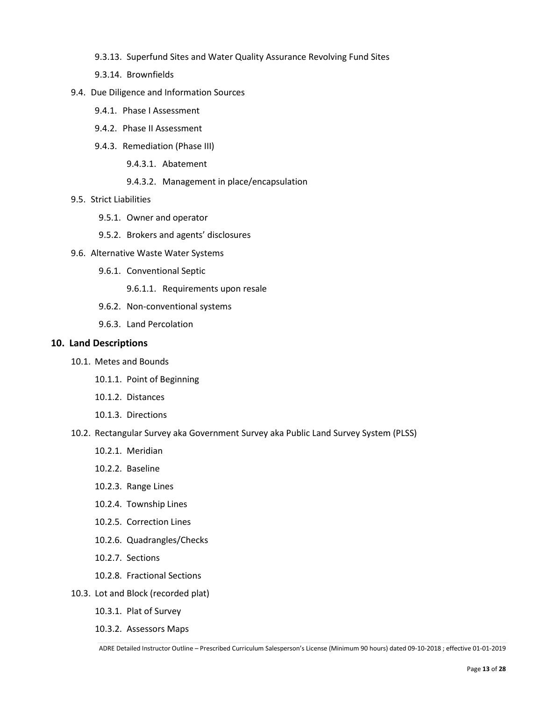- 9.3.13. Superfund Sites and Water Quality Assurance Revolving Fund Sites
- 9.3.14. Brownfields
- 9.4. Due Diligence and Information Sources
	- 9.4.1. Phase I Assessment
	- 9.4.2. Phase II Assessment
	- 9.4.3. Remediation (Phase III)
		- 9.4.3.1. Abatement
		- 9.4.3.2. Management in place/encapsulation
- 9.5. Strict Liabilities
	- 9.5.1. Owner and operator
	- 9.5.2. Brokers and agents' disclosures
- 9.6. Alternative Waste Water Systems
	- 9.6.1. Conventional Septic
		- 9.6.1.1. Requirements upon resale
	- 9.6.2. Non-conventional systems
	- 9.6.3. Land Percolation

#### **10. Land Descriptions**

- 10.1. Metes and Bounds
	- 10.1.1. Point of Beginning
	- 10.1.2. Distances
	- 10.1.3. Directions
- 10.2. Rectangular Survey aka Government Survey aka Public Land Survey System (PLSS)
	- 10.2.1. Meridian
	- 10.2.2. Baseline
	- 10.2.3. Range Lines
	- 10.2.4. Township Lines
	- 10.2.5. Correction Lines
	- 10.2.6. Quadrangles/Checks
	- 10.2.7. Sections
	- 10.2.8. Fractional Sections
- 10.3. Lot and Block (recorded plat)
	- 10.3.1. Plat of Survey
	- 10.3.2. Assessors Maps

ADRE Detailed Instructor Outline – Prescribed Curriculum Salesperson's License (Minimum 90 hours) dated 09-10-2018 ; effective 01-01-2019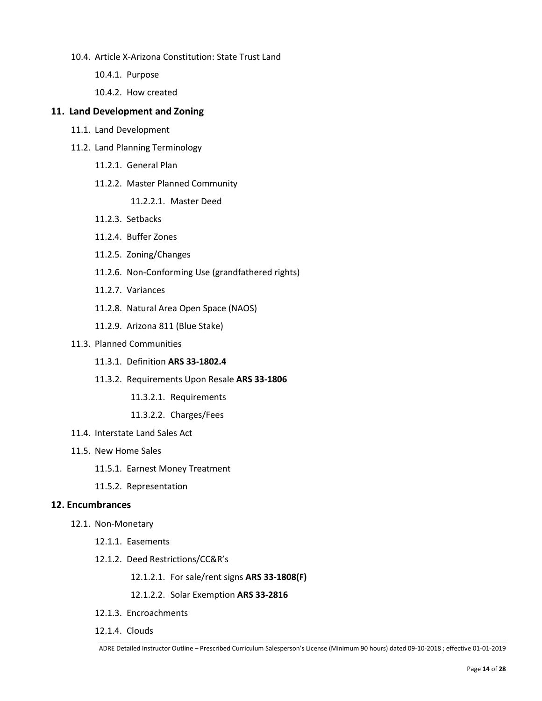- 10.4. Article X-Arizona Constitution: State Trust Land
	- 10.4.1. Purpose
	- 10.4.2. How created

#### **11. Land Development and Zoning**

- 11.1. Land Development
- 11.2. Land Planning Terminology
	- 11.2.1. General Plan
	- 11.2.2. Master Planned Community
		- 11.2.2.1. Master Deed
	- 11.2.3. Setbacks
	- 11.2.4. Buffer Zones
	- 11.2.5. Zoning/Changes
	- 11.2.6. Non-Conforming Use (grandfathered rights)
	- 11.2.7. Variances
	- 11.2.8. Natural Area Open Space (NAOS)
	- 11.2.9. Arizona 811 (Blue Stake)

#### 11.3. Planned Communities

- 11.3.1. Definition **ARS 33-1802.4**
- 11.3.2. Requirements Upon Resale **ARS 33-1806**
	- 11.3.2.1. Requirements
	- 11.3.2.2. Charges/Fees
- 11.4. Interstate Land Sales Act
- 11.5. New Home Sales
	- 11.5.1. Earnest Money Treatment
	- 11.5.2. Representation

#### **12. Encumbrances**

- 12.1. Non-Monetary
	- 12.1.1. Easements
	- 12.1.2. Deed Restrictions/CC&R's
		- 12.1.2.1. For sale/rent signs **ARS 33-1808(F)**
		- 12.1.2.2. Solar Exemption **ARS 33-2816**
	- 12.1.3. Encroachments
	- 12.1.4. Clouds

ADRE Detailed Instructor Outline – Prescribed Curriculum Salesperson's License (Minimum 90 hours) dated 09-10-2018 ; effective 01-01-2019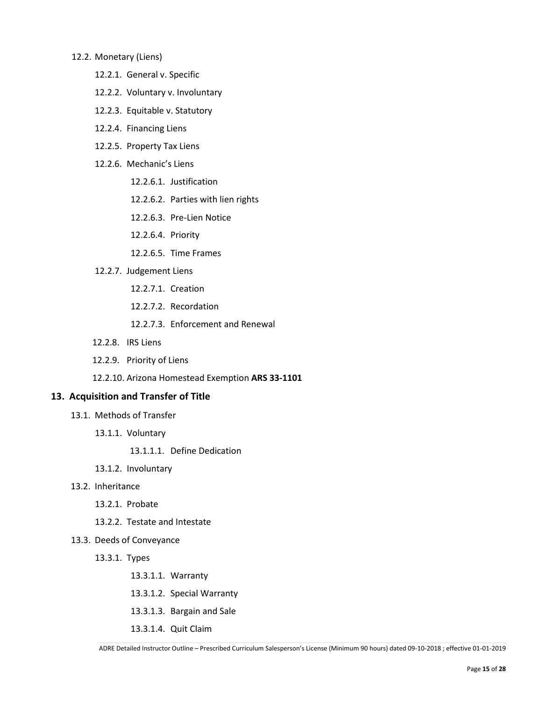#### 12.2. Monetary (Liens)

- 12.2.1. General v. Specific
- 12.2.2. Voluntary v. Involuntary
- 12.2.3. Equitable v. Statutory
- 12.2.4. Financing Liens
- 12.2.5. Property Tax Liens
- 12.2.6. Mechanic's Liens
	- 12.2.6.1. Justification
	- 12.2.6.2. Parties with lien rights
	- 12.2.6.3. Pre-Lien Notice
	- 12.2.6.4. Priority
	- 12.2.6.5. Time Frames
- 12.2.7. Judgement Liens
	- 12.2.7.1. Creation
	- 12.2.7.2. Recordation
	- 12.2.7.3. Enforcement and Renewal
- 12.2.8. IRS Liens
- 12.2.9. Priority of Liens
- 12.2.10. Arizona Homestead Exemption **ARS 33-1101**

#### **13. Acquisition and Transfer of Title**

- 13.1. Methods of Transfer
	- 13.1.1. Voluntary
		- 13.1.1.1. Define Dedication
	- 13.1.2. Involuntary
- 13.2. Inheritance
	- 13.2.1. Probate
	- 13.2.2. Testate and Intestate
- 13.3. Deeds of Conveyance
	- 13.3.1. Types
		- 13.3.1.1. Warranty
		- 13.3.1.2. Special Warranty
		- 13.3.1.3. Bargain and Sale
		- 13.3.1.4. Quit Claim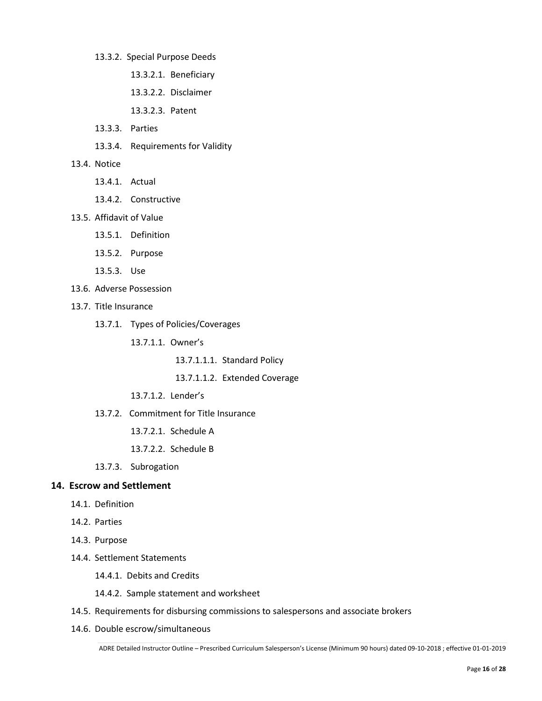- 13.3.2. Special Purpose Deeds
	- 13.3.2.1. Beneficiary
	- 13.3.2.2. Disclaimer
	- 13.3.2.3. Patent
- 13.3.3. Parties
- 13.3.4. Requirements for Validity
- 13.4. Notice
	- 13.4.1. Actual
	- 13.4.2. Constructive
- 13.5. Affidavit of Value
	- 13.5.1. Definition
	- 13.5.2. Purpose
	- 13.5.3. Use
- 13.6. Adverse Possession
- 13.7. Title Insurance
	- 13.7.1. Types of Policies/Coverages
		- 13.7.1.1. Owner's
			- 13.7.1.1.1. Standard Policy
			- 13.7.1.1.2. Extended Coverage
		- 13.7.1.2. Lender's
	- 13.7.2. Commitment for Title Insurance
		- 13.7.2.1. Schedule A
		- 13.7.2.2. Schedule B
	- 13.7.3. Subrogation

#### **14. Escrow and Settlement**

- 14.1. Definition
- 14.2. Parties
- 14.3. Purpose
- 14.4. Settlement Statements
	- 14.4.1. Debits and Credits
	- 14.4.2. Sample statement and worksheet
- 14.5. Requirements for disbursing commissions to salespersons and associate brokers
- 14.6. Double escrow/simultaneous

ADRE Detailed Instructor Outline – Prescribed Curriculum Salesperson's License (Minimum 90 hours) dated 09-10-2018 ; effective 01-01-2019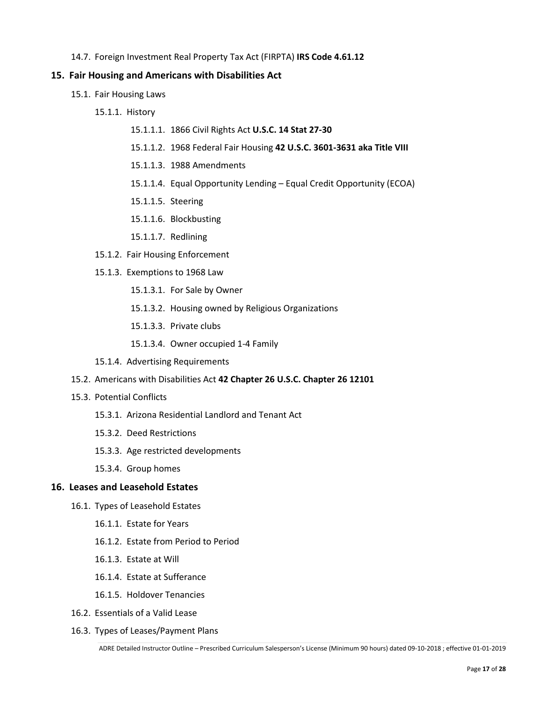14.7. Foreign Investment Real Property Tax Act (FIRPTA) **IRS Code 4.61.12**

## **15. Fair Housing and Americans with Disabilities Act**

- 15.1. Fair Housing Laws
	- 15.1.1. History
		- 15.1.1.1. 1866 Civil Rights Act **U.S.C. 14 Stat 27-30**
		- 15.1.1.2. 1968 Federal Fair Housing **42 U.S.C. 3601-3631 aka Title VIII**
		- 15.1.1.3. 1988 Amendments
		- 15.1.1.4. Equal Opportunity Lending Equal Credit Opportunity (ECOA)
		- 15.1.1.5. Steering
		- 15.1.1.6. Blockbusting
		- 15.1.1.7. Redlining
	- 15.1.2. Fair Housing Enforcement
	- 15.1.3. Exemptions to 1968 Law
		- 15.1.3.1. For Sale by Owner
		- 15.1.3.2. Housing owned by Religious Organizations
		- 15.1.3.3. Private clubs
		- 15.1.3.4. Owner occupied 1-4 Family
	- 15.1.4. Advertising Requirements
- 15.2. Americans with Disabilities Act **42 Chapter 26 U.S.C. Chapter 26 12101**
- 15.3. Potential Conflicts
	- 15.3.1. Arizona Residential Landlord and Tenant Act
	- 15.3.2. Deed Restrictions
	- 15.3.3. Age restricted developments
	- 15.3.4. Group homes

## **16. Leases and Leasehold Estates**

- 16.1. Types of Leasehold Estates
	- 16.1.1. Estate for Years
	- 16.1.2. Estate from Period to Period
	- 16.1.3. Estate at Will
	- 16.1.4. Estate at Sufferance
	- 16.1.5. Holdover Tenancies
- 16.2. Essentials of a Valid Lease
- 16.3. Types of Leases/Payment Plans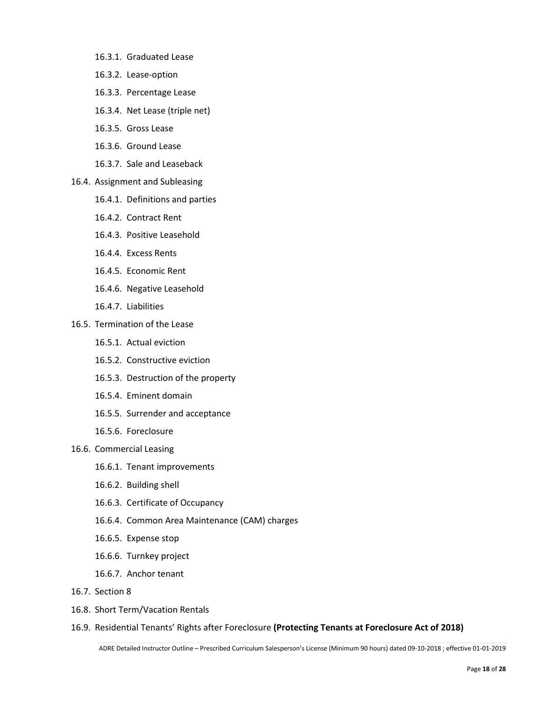- 16.3.1. Graduated Lease
- 16.3.2. Lease-option
- 16.3.3. Percentage Lease
- 16.3.4. Net Lease (triple net)
- 16.3.5. Gross Lease
- 16.3.6. Ground Lease
- 16.3.7. Sale and Leaseback
- 16.4. Assignment and Subleasing
	- 16.4.1. Definitions and parties
	- 16.4.2. Contract Rent
	- 16.4.3. Positive Leasehold
	- 16.4.4. Excess Rents
	- 16.4.5. Economic Rent
	- 16.4.6. Negative Leasehold
	- 16.4.7. Liabilities
- 16.5. Termination of the Lease
	- 16.5.1. Actual eviction
	- 16.5.2. Constructive eviction
	- 16.5.3. Destruction of the property
	- 16.5.4. Eminent domain
	- 16.5.5. Surrender and acceptance
	- 16.5.6. Foreclosure
- 16.6. Commercial Leasing
	- 16.6.1. Tenant improvements
	- 16.6.2. Building shell
	- 16.6.3. Certificate of Occupancy
	- 16.6.4. Common Area Maintenance (CAM) charges
	- 16.6.5. Expense stop
	- 16.6.6. Turnkey project
	- 16.6.7. Anchor tenant
- 16.7. Section 8
- 16.8. Short Term/Vacation Rentals
- 16.9. Residential Tenants' Rights after Foreclosure **(Protecting Tenants at Foreclosure Act of 2018)**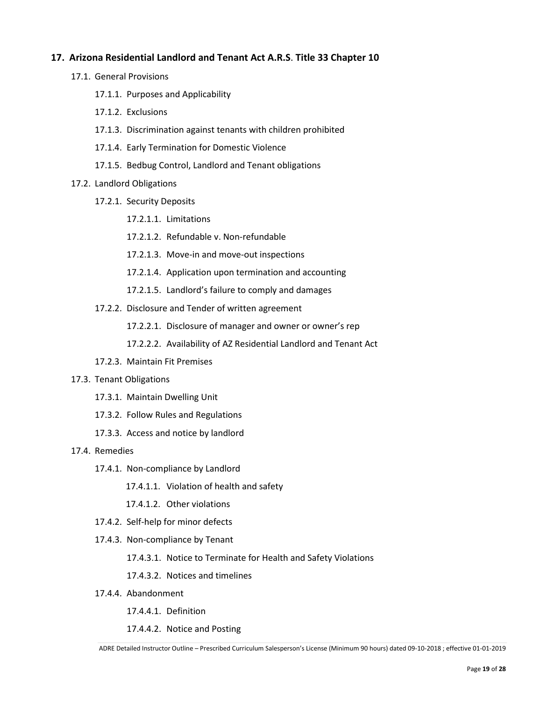#### **17. Arizona Residential Landlord and Tenant Act A.R.S**. **Title 33 Chapter 10**

- 17.1. General Provisions
	- 17.1.1. Purposes and Applicability
	- 17.1.2. Exclusions
	- 17.1.3. Discrimination against tenants with children prohibited
	- 17.1.4. Early Termination for Domestic Violence
	- 17.1.5. Bedbug Control, Landlord and Tenant obligations
- 17.2. Landlord Obligations
	- 17.2.1. Security Deposits
		- 17.2.1.1. Limitations
		- 17.2.1.2. Refundable v. Non-refundable
		- 17.2.1.3. Move-in and move-out inspections
		- 17.2.1.4. Application upon termination and accounting
		- 17.2.1.5. Landlord's failure to comply and damages
	- 17.2.2. Disclosure and Tender of written agreement
		- 17.2.2.1. Disclosure of manager and owner or owner's rep
		- 17.2.2.2. Availability of AZ Residential Landlord and Tenant Act
	- 17.2.3. Maintain Fit Premises

#### 17.3. Tenant Obligations

- 17.3.1. Maintain Dwelling Unit
- 17.3.2. Follow Rules and Regulations
- 17.3.3. Access and notice by landlord
- 17.4. Remedies
	- 17.4.1. Non-compliance by Landlord
		- 17.4.1.1. Violation of health and safety
		- 17.4.1.2. Other violations
	- 17.4.2. Self-help for minor defects
	- 17.4.3. Non-compliance by Tenant
		- 17.4.3.1. Notice to Terminate for Health and Safety Violations
		- 17.4.3.2. Notices and timelines
	- 17.4.4. Abandonment
		- 17.4.4.1. Definition
		- 17.4.4.2. Notice and Posting

ADRE Detailed Instructor Outline – Prescribed Curriculum Salesperson's License (Minimum 90 hours) dated 09-10-2018 ; effective 01-01-2019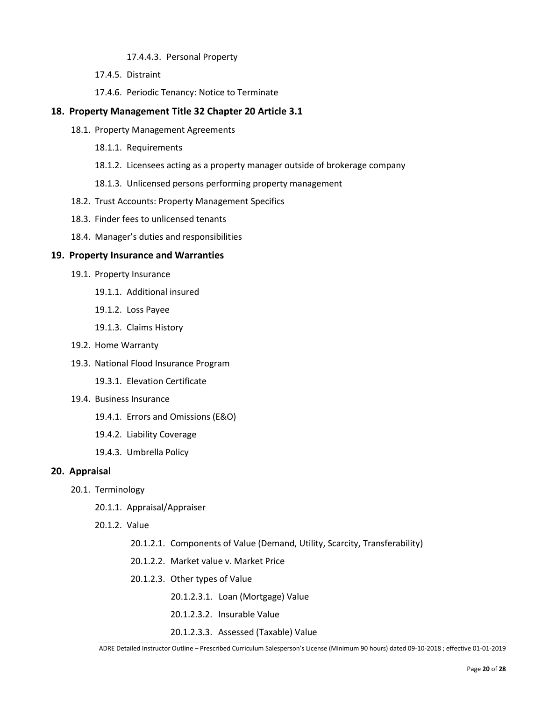17.4.4.3. Personal Property

17.4.5. Distraint

17.4.6. Periodic Tenancy: Notice to Terminate

#### **18. Property Management Title 32 Chapter 20 Article 3.1**

- 18.1. Property Management Agreements
	- 18.1.1. Requirements
	- 18.1.2. Licensees acting as a property manager outside of brokerage company
	- 18.1.3. Unlicensed persons performing property management
- 18.2. Trust Accounts: Property Management Specifics
- 18.3. Finder fees to unlicensed tenants
- 18.4. Manager's duties and responsibilities

#### **19. Property Insurance and Warranties**

- 19.1. Property Insurance
	- 19.1.1. Additional insured
	- 19.1.2. Loss Payee
	- 19.1.3. Claims History
- 19.2. Home Warranty
- 19.3. National Flood Insurance Program
	- 19.3.1. Elevation Certificate
- 19.4. Business Insurance
	- 19.4.1. Errors and Omissions (E&O)
	- 19.4.2. Liability Coverage
	- 19.4.3. Umbrella Policy

#### **20. Appraisal**

- 20.1. Terminology
	- 20.1.1. Appraisal/Appraiser
	- 20.1.2. Value
		- 20.1.2.1. Components of Value (Demand, Utility, Scarcity, Transferability)
		- 20.1.2.2. Market value v. Market Price
		- 20.1.2.3. Other types of Value
			- 20.1.2.3.1. Loan (Mortgage) Value
			- 20.1.2.3.2. Insurable Value
			- 20.1.2.3.3. Assessed (Taxable) Value

ADRE Detailed Instructor Outline – Prescribed Curriculum Salesperson's License (Minimum 90 hours) dated 09-10-2018 ; effective 01-01-2019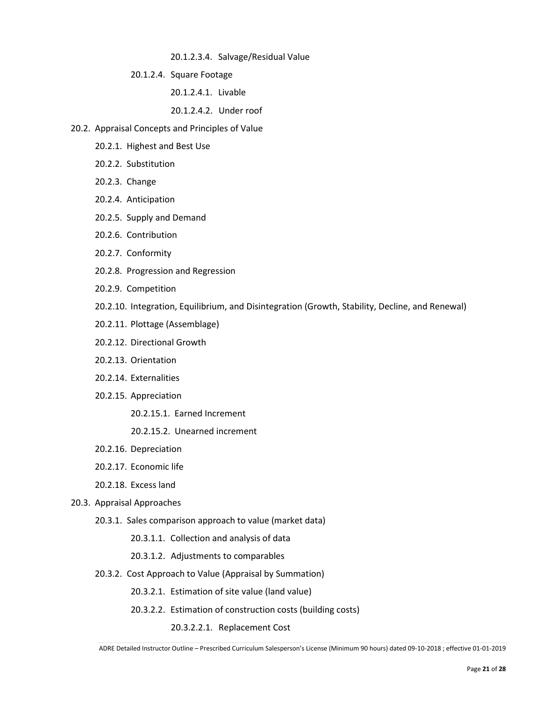20.1.2.3.4. Salvage/Residual Value

20.1.2.4. Square Footage

20.1.2.4.1. Livable

20.1.2.4.2. Under roof

- 20.2. Appraisal Concepts and Principles of Value
	- 20.2.1. Highest and Best Use
	- 20.2.2. Substitution
	- 20.2.3. Change
	- 20.2.4. Anticipation
	- 20.2.5. Supply and Demand
	- 20.2.6. Contribution
	- 20.2.7. Conformity
	- 20.2.8. Progression and Regression
	- 20.2.9. Competition
	- 20.2.10. Integration, Equilibrium, and Disintegration (Growth, Stability, Decline, and Renewal)
	- 20.2.11. Plottage (Assemblage)
	- 20.2.12. Directional Growth
	- 20.2.13. Orientation
	- 20.2.14. Externalities
	- 20.2.15. Appreciation
		- 20.2.15.1. Earned Increment
		- 20.2.15.2. Unearned increment
	- 20.2.16. Depreciation
	- 20.2.17. Economic life
	- 20.2.18. Excess land
- 20.3. Appraisal Approaches
	- 20.3.1. Sales comparison approach to value (market data)
		- 20.3.1.1. Collection and analysis of data
		- 20.3.1.2. Adjustments to comparables
	- 20.3.2. Cost Approach to Value (Appraisal by Summation)
		- 20.3.2.1. Estimation of site value (land value)
		- 20.3.2.2. Estimation of construction costs (building costs)
			- 20.3.2.2.1. Replacement Cost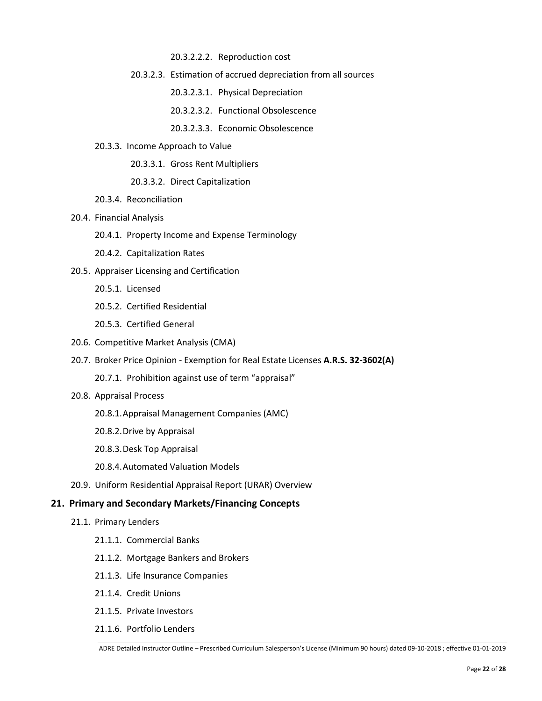- 20.3.2.2.2. Reproduction cost
- 20.3.2.3. Estimation of accrued depreciation from all sources
	- 20.3.2.3.1. Physical Depreciation
	- 20.3.2.3.2. Functional Obsolescence
	- 20.3.2.3.3. Economic Obsolescence
- 20.3.3. Income Approach to Value
	- 20.3.3.1. Gross Rent Multipliers
	- 20.3.3.2. Direct Capitalization
- 20.3.4. Reconciliation
- 20.4. Financial Analysis
	- 20.4.1. Property Income and Expense Terminology
	- 20.4.2. Capitalization Rates
- 20.5. Appraiser Licensing and Certification
	- 20.5.1. Licensed
	- 20.5.2. Certified Residential
	- 20.5.3. Certified General
- 20.6. Competitive Market Analysis (CMA)
- 20.7. Broker Price Opinion Exemption for Real Estate Licenses **A.R.S. 32-3602(A)**
	- 20.7.1. Prohibition against use of term "appraisal"
- 20.8. Appraisal Process
	- 20.8.1.Appraisal Management Companies (AMC)
	- 20.8.2.Drive by Appraisal
	- 20.8.3.Desk Top Appraisal
	- 20.8.4.Automated Valuation Models
- 20.9. Uniform Residential Appraisal Report (URAR) Overview

#### **21. Primary and Secondary Markets/Financing Concepts**

- 21.1. Primary Lenders
	- 21.1.1. Commercial Banks
	- 21.1.2. Mortgage Bankers and Brokers
	- 21.1.3. Life Insurance Companies
	- 21.1.4. Credit Unions
	- 21.1.5. Private Investors
	- 21.1.6. Portfolio Lenders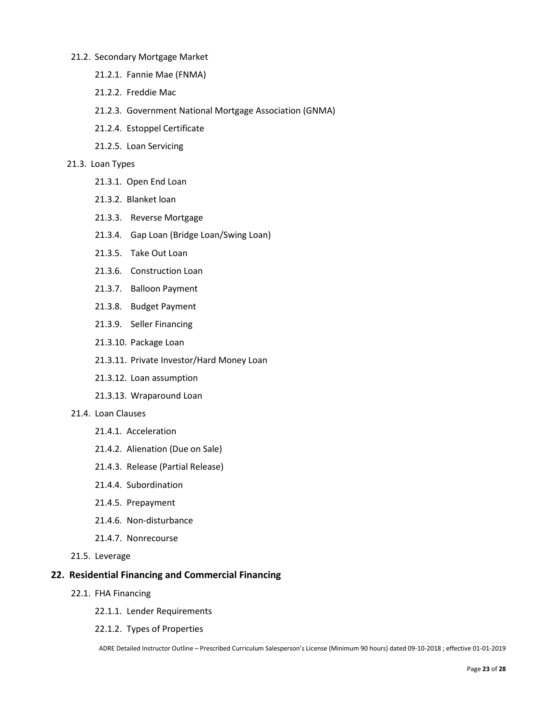#### 21.2. Secondary Mortgage Market

- 21.2.1. Fannie Mae (FNMA)
- 21.2.2. Freddie Mac
- 21.2.3. Government National Mortgage Association (GNMA)
- 21.2.4. Estoppel Certificate
- 21.2.5. Loan Servicing

#### 21.3. Loan Types

- 21.3.1. Open End Loan
- 21.3.2. Blanket loan
- 21.3.3. Reverse Mortgage
- 21.3.4. Gap Loan (Bridge Loan/Swing Loan)
- 21.3.5. Take Out Loan
- 21.3.6. Construction Loan
- 21.3.7. Balloon Payment
- 21.3.8. Budget Payment
- 21.3.9. Seller Financing
- 21.3.10. Package Loan
- 21.3.11. Private Investor/Hard Money Loan
- 21.3.12. Loan assumption
- 21.3.13. Wraparound Loan
- 21.4. Loan Clauses
	- 21.4.1. Acceleration
	- 21.4.2. Alienation (Due on Sale)
	- 21.4.3. Release (Partial Release)
	- 21.4.4. Subordination
	- 21.4.5. Prepayment
	- 21.4.6. Non-disturbance
	- 21.4.7. Nonrecourse
- 21.5. Leverage

## **22. Residential Financing and Commercial Financing**

- 22.1. FHA Financing
	- 22.1.1. Lender Requirements
	- 22.1.2. Types of Properties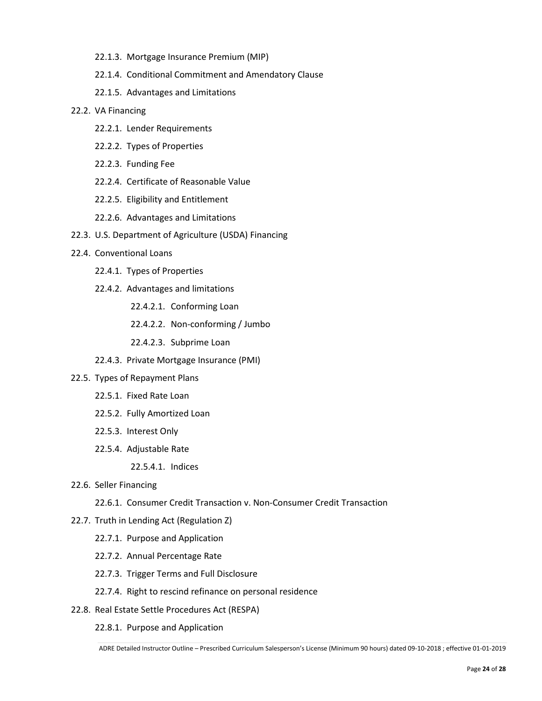- 22.1.3. Mortgage Insurance Premium (MIP)
- 22.1.4. Conditional Commitment and Amendatory Clause
- 22.1.5. Advantages and Limitations

#### 22.2. VA Financing

- 22.2.1. Lender Requirements
- 22.2.2. Types of Properties
- 22.2.3. Funding Fee
- 22.2.4. Certificate of Reasonable Value
- 22.2.5. Eligibility and Entitlement
- 22.2.6. Advantages and Limitations
- 22.3. U.S. Department of Agriculture (USDA) Financing
- 22.4. Conventional Loans
	- 22.4.1. Types of Properties
	- 22.4.2. Advantages and limitations
		- 22.4.2.1. Conforming Loan
		- 22.4.2.2. Non-conforming / Jumbo
		- 22.4.2.3. Subprime Loan
	- 22.4.3. Private Mortgage Insurance (PMI)
- 22.5. Types of Repayment Plans
	- 22.5.1. Fixed Rate Loan
	- 22.5.2. Fully Amortized Loan
	- 22.5.3. Interest Only
	- 22.5.4. Adjustable Rate

22.5.4.1. Indices

- 22.6. Seller Financing
	- 22.6.1. Consumer Credit Transaction v. Non-Consumer Credit Transaction
- 22.7. Truth in Lending Act (Regulation Z)
	- 22.7.1. Purpose and Application
	- 22.7.2. Annual Percentage Rate
	- 22.7.3. Trigger Terms and Full Disclosure
	- 22.7.4. Right to rescind refinance on personal residence
- 22.8. Real Estate Settle Procedures Act (RESPA)
	- 22.8.1. Purpose and Application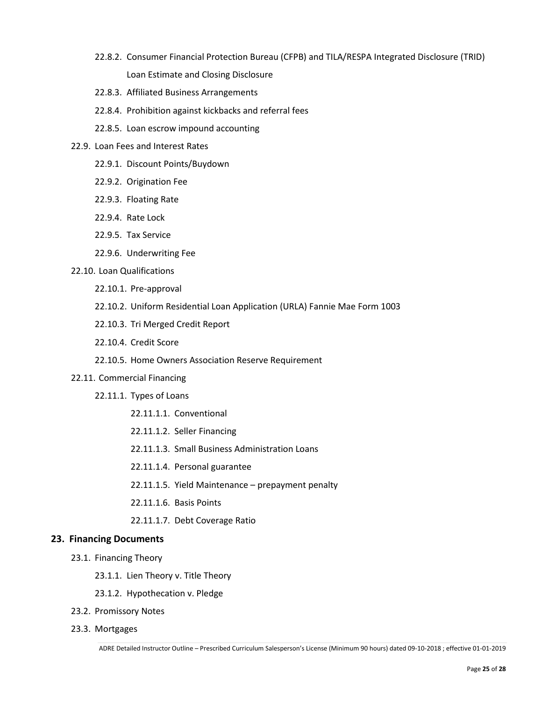- 22.8.2. Consumer Financial Protection Bureau (CFPB) and TILA/RESPA Integrated Disclosure (TRID) Loan Estimate and Closing Disclosure
- 22.8.3. Affiliated Business Arrangements
- 22.8.4. Prohibition against kickbacks and referral fees
- 22.8.5. Loan escrow impound accounting
- 22.9. Loan Fees and Interest Rates
	- 22.9.1. Discount Points/Buydown
	- 22.9.2. Origination Fee
	- 22.9.3. Floating Rate
	- 22.9.4. Rate Lock
	- 22.9.5. Tax Service
	- 22.9.6. Underwriting Fee
- 22.10. Loan Qualifications
	- 22.10.1. Pre-approval
	- 22.10.2. Uniform Residential Loan Application (URLA) Fannie Mae Form 1003
	- 22.10.3. Tri Merged Credit Report
	- 22.10.4. Credit Score
	- 22.10.5. Home Owners Association Reserve Requirement
- 22.11. Commercial Financing
	- 22.11.1. Types of Loans
		- 22.11.1.1. Conventional
		- 22.11.1.2. Seller Financing
		- 22.11.1.3. Small Business Administration Loans
		- 22.11.1.4. Personal guarantee
		- 22.11.1.5. Yield Maintenance prepayment penalty
		- 22.11.1.6. Basis Points
		- 22.11.1.7. Debt Coverage Ratio

#### **23. Financing Documents**

- 23.1. Financing Theory
	- 23.1.1. Lien Theory v. Title Theory
	- 23.1.2. Hypothecation v. Pledge
- 23.2. Promissory Notes
- 23.3. Mortgages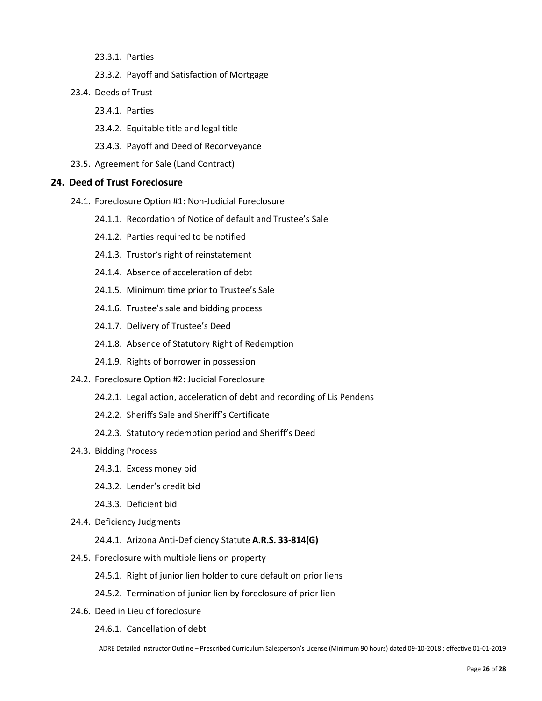- 23.3.1. Parties
- 23.3.2. Payoff and Satisfaction of Mortgage
- 23.4. Deeds of Trust
	- 23.4.1. Parties
	- 23.4.2. Equitable title and legal title
	- 23.4.3. Payoff and Deed of Reconveyance
- 23.5. Agreement for Sale (Land Contract)

#### **24. Deed of Trust Foreclosure**

- 24.1. Foreclosure Option #1: Non-Judicial Foreclosure
	- 24.1.1. Recordation of Notice of default and Trustee's Sale
	- 24.1.2. Parties required to be notified
	- 24.1.3. Trustor's right of reinstatement
	- 24.1.4. Absence of acceleration of debt
	- 24.1.5. Minimum time prior to Trustee's Sale
	- 24.1.6. Trustee's sale and bidding process
	- 24.1.7. Delivery of Trustee's Deed
	- 24.1.8. Absence of Statutory Right of Redemption
	- 24.1.9. Rights of borrower in possession
- 24.2. Foreclosure Option #2: Judicial Foreclosure
	- 24.2.1. Legal action, acceleration of debt and recording of Lis Pendens
	- 24.2.2. Sheriffs Sale and Sheriff's Certificate
	- 24.2.3. Statutory redemption period and Sheriff's Deed
- 24.3. Bidding Process
	- 24.3.1. Excess money bid
	- 24.3.2. Lender's credit bid
	- 24.3.3. Deficient bid
- 24.4. Deficiency Judgments
	- 24.4.1. Arizona Anti-Deficiency Statute **A.R.S. 33-814(G)**
- 24.5. Foreclosure with multiple liens on property
	- 24.5.1. Right of junior lien holder to cure default on prior liens
	- 24.5.2. Termination of junior lien by foreclosure of prior lien
- 24.6. Deed in Lieu of foreclosure
	- 24.6.1. Cancellation of debt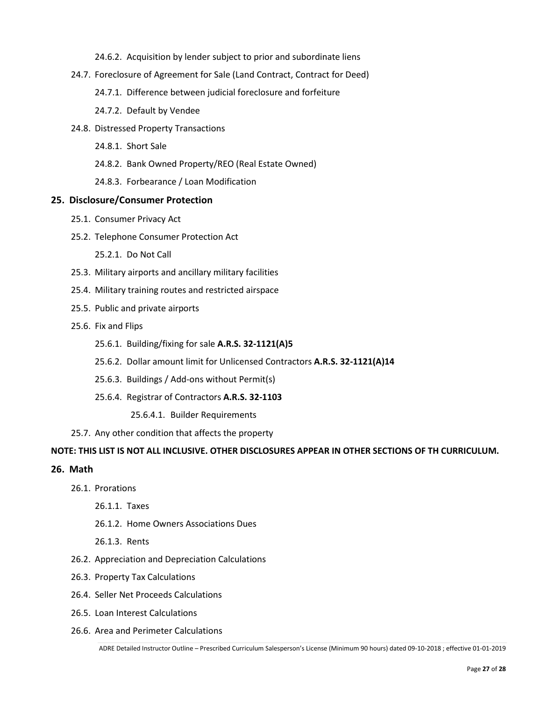- 24.6.2. Acquisition by lender subject to prior and subordinate liens
- 24.7. Foreclosure of Agreement for Sale (Land Contract, Contract for Deed)
	- 24.7.1. Difference between judicial foreclosure and forfeiture
	- 24.7.2. Default by Vendee
- 24.8. Distressed Property Transactions
	- 24.8.1. Short Sale
	- 24.8.2. Bank Owned Property/REO (Real Estate Owned)
	- 24.8.3. Forbearance / Loan Modification

#### **25. Disclosure/Consumer Protection**

- 25.1. Consumer Privacy Act
- 25.2. Telephone Consumer Protection Act
	- 25.2.1. Do Not Call
- 25.3. Military airports and ancillary military facilities
- 25.4. Military training routes and restricted airspace
- 25.5. Public and private airports
- 25.6. Fix and Flips
	- 25.6.1. Building/fixing for sale **A.R.S. 32-1121(A)5**
	- 25.6.2. Dollar amount limit for Unlicensed Contractors **A.R.S. 32-1121(A)14**
	- 25.6.3. Buildings / Add-ons without Permit(s)
	- 25.6.4. Registrar of Contractors **A.R.S. 32-1103**
		- 25.6.4.1. Builder Requirements
- 25.7. Any other condition that affects the property

#### **NOTE: THIS LIST IS NOT ALL INCLUSIVE. OTHER DISCLOSURES APPEAR IN OTHER SECTIONS OF TH CURRICULUM.**

#### **26. Math**

- 26.1. Prorations
	- 26.1.1. Taxes
	- 26.1.2. Home Owners Associations Dues
	- 26.1.3. Rents
- 26.2. Appreciation and Depreciation Calculations
- 26.3. Property Tax Calculations
- 26.4. Seller Net Proceeds Calculations
- 26.5. Loan Interest Calculations
- 26.6. Area and Perimeter Calculations